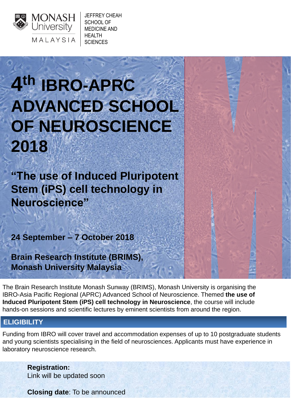The Brain Research Institute Monash Sunway (BRIMS), Monash University is organising the IBRO-Asia Pacific Regional (APRC) Advanced School of Neuroscience. Themed **the use of Induced Pluripotent Stem (iPS) cell technology in Neuroscience**, the course will include hands-on sessions and scientific lectures by eminent scientists from around the region.

**4 th IBRO-APRC ADVANCED SCHOOL OF NEUROSCIENCE 2018**

**"The use of Induced Pluripotent Stem (iPS) cell technology in Neuroscience"**

**24 September – 7 October 2018**

**Brain Research Institute (BRIMS), Monash University Malaysia**

> **Registration:** Link will be updated soon

**Closing date**: To be announced



## **ELIGIBILITY**

Funding from IBRO will cover travel and accommodation expenses of up to 10 postgraduate students and young scientists specialising in the field of neurosciences. Applicants must have experience in laboratory neuroscience research.